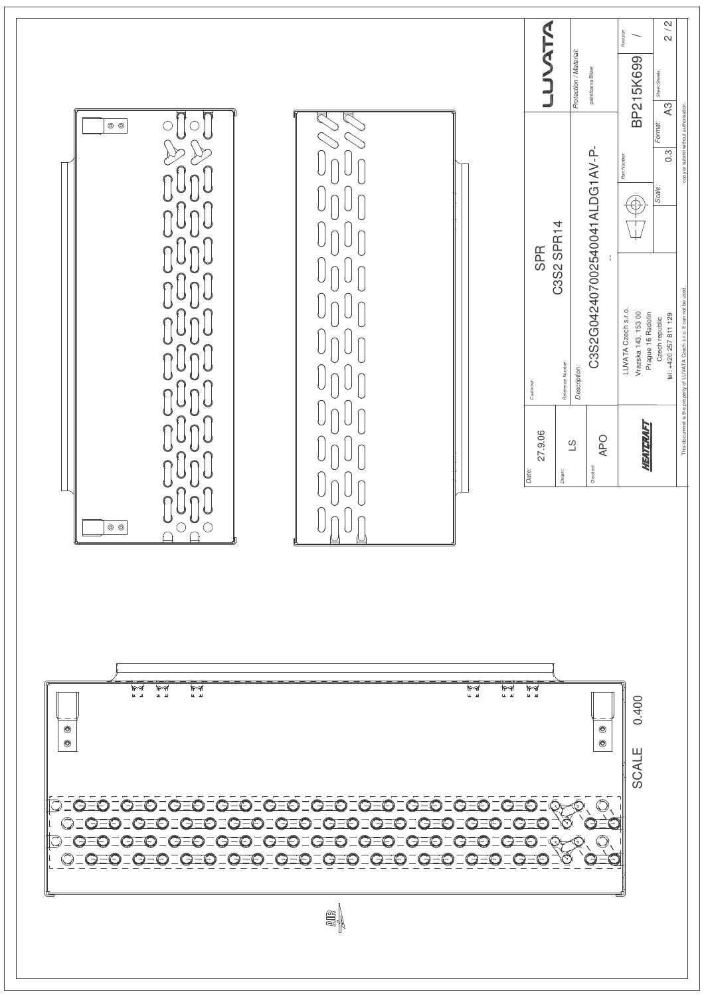